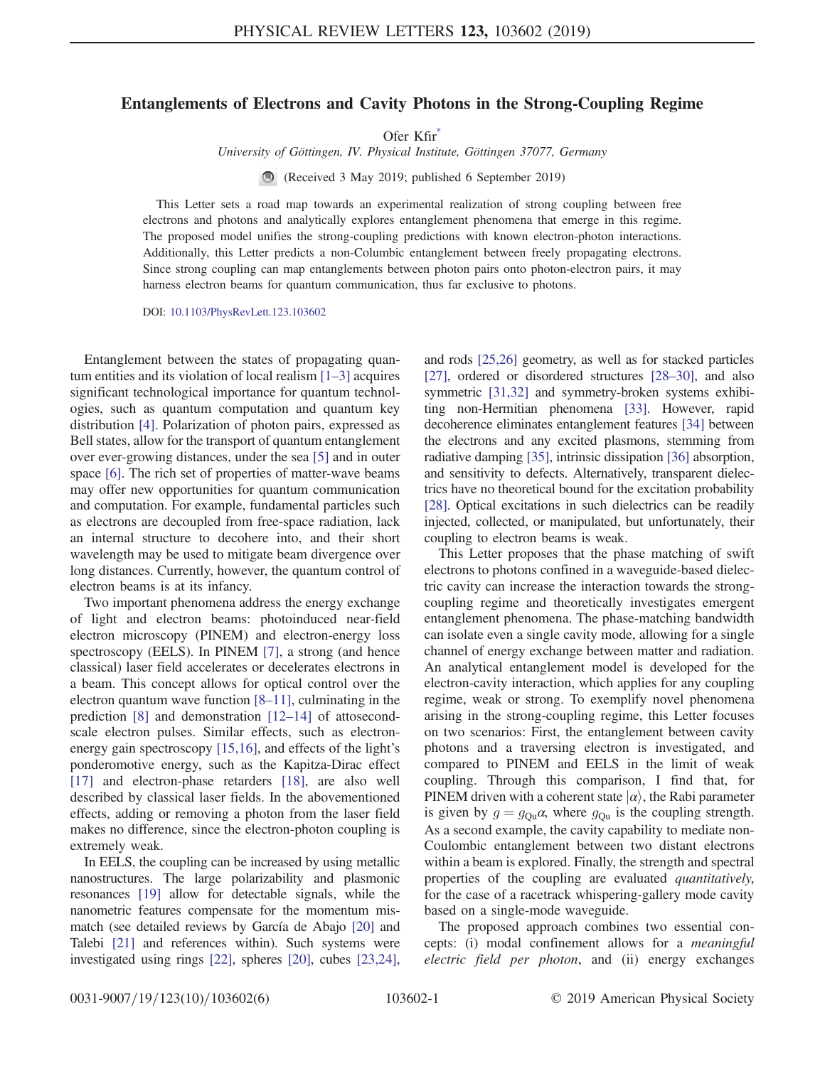## <span id="page-0-0"></span>Entanglements of Electrons and Cavity Photons in the Strong-Coupling Regime

Ofer Kfir[\\*](#page-4-0)

University of Göttingen, IV. Physical Institute, Göttingen 37077, Germany

(Received 3 May 2019; published 6 September 2019)

This Letter sets a road map towards an experimental realization of strong coupling between free electrons and photons and analytically explores entanglement phenomena that emerge in this regime. The proposed model unifies the strong-coupling predictions with known electron-photon interactions. Additionally, this Letter predicts a non-Columbic entanglement between freely propagating electrons. Since strong coupling can map entanglements between photon pairs onto photon-electron pairs, it may harness electron beams for quantum communication, thus far exclusive to photons.

DOI: [10.1103/PhysRevLett.123.103602](https://doi.org/10.1103/PhysRevLett.123.103602)

Entanglement between the states of propagating quantum entities and its violation of local realism  $[1-3]$  $[1-3]$  acquires significant technological importance for quantum technologies, such as quantum computation and quantum key distribution [\[4\]](#page-4-2). Polarization of photon pairs, expressed as Bell states, allow for the transport of quantum entanglement over ever-growing distances, under the sea [\[5\]](#page-4-3) and in outer space [\[6\]](#page-4-4). The rich set of properties of matter-wave beams may offer new opportunities for quantum communication and computation. For example, fundamental particles such as electrons are decoupled from free-space radiation, lack an internal structure to decohere into, and their short wavelength may be used to mitigate beam divergence over long distances. Currently, however, the quantum control of electron beams is at its infancy.

Two important phenomena address the energy exchange of light and electron beams: photoinduced near-field electron microscopy (PINEM) and electron-energy loss spectroscopy (EELS). In PINEM [\[7\]](#page-4-5), a strong (and hence classical) laser field accelerates or decelerates electrons in a beam. This concept allows for optical control over the electron quantum wave function [8–[11\]](#page-4-6), culminating in the prediction [\[8\]](#page-4-6) and demonstration [12–[14\]](#page-4-7) of attosecondscale electron pulses. Similar effects, such as electronenergy gain spectroscopy [\[15,16\]](#page-4-8), and effects of the light's ponderomotive energy, such as the Kapitza-Dirac effect [\[17\]](#page-5-0) and electron-phase retarders [\[18\]](#page-5-1), are also well described by classical laser fields. In the abovementioned effects, adding or removing a photon from the laser field makes no difference, since the electron-photon coupling is extremely weak.

In EELS, the coupling can be increased by using metallic nanostructures. The large polarizability and plasmonic resonances [\[19\]](#page-5-2) allow for detectable signals, while the nanometric features compensate for the momentum mismatch (see detailed reviews by García de Abajo [\[20\]](#page-5-3) and Talebi [\[21\]](#page-5-4) and references within). Such systems were investigated using rings [\[22\]](#page-5-5), spheres [\[20\],](#page-5-3) cubes [\[23,24\]](#page-5-6), and rods [\[25,26\]](#page-5-7) geometry, as well as for stacked particles [\[27\],](#page-5-8) ordered or disordered structures [\[28](#page-5-9)–30], and also symmetric [\[31,32\]](#page-5-10) and symmetry-broken systems exhibiting non-Hermitian phenomena [\[33\]](#page-5-11). However, rapid decoherence eliminates entanglement features [\[34\]](#page-5-12) between the electrons and any excited plasmons, stemming from radiative damping [\[35\],](#page-5-13) intrinsic dissipation [\[36\]](#page-5-14) absorption, and sensitivity to defects. Alternatively, transparent dielectrics have no theoretical bound for the excitation probability [\[28\].](#page-5-9) Optical excitations in such dielectrics can be readily injected, collected, or manipulated, but unfortunately, their coupling to electron beams is weak.

This Letter proposes that the phase matching of swift electrons to photons confined in a waveguide-based dielectric cavity can increase the interaction towards the strongcoupling regime and theoretically investigates emergent entanglement phenomena. The phase-matching bandwidth can isolate even a single cavity mode, allowing for a single channel of energy exchange between matter and radiation. An analytical entanglement model is developed for the electron-cavity interaction, which applies for any coupling regime, weak or strong. To exemplify novel phenomena arising in the strong-coupling regime, this Letter focuses on two scenarios: First, the entanglement between cavity photons and a traversing electron is investigated, and compared to PINEM and EELS in the limit of weak coupling. Through this comparison, I find that, for PINEM driven with a coherent state  $|\alpha\rangle$ , the Rabi parameter is given by  $g = g_{\text{Qu}}\alpha$ , where  $g_{\text{Qu}}$  is the coupling strength. As a second example, the cavity capability to mediate non-Coulombic entanglement between two distant electrons within a beam is explored. Finally, the strength and spectral properties of the coupling are evaluated quantitatively, for the case of a racetrack whispering-gallery mode cavity based on a single-mode waveguide.

The proposed approach combines two essential concepts: (i) modal confinement allows for a meaningful electric field per photon, and (ii) energy exchanges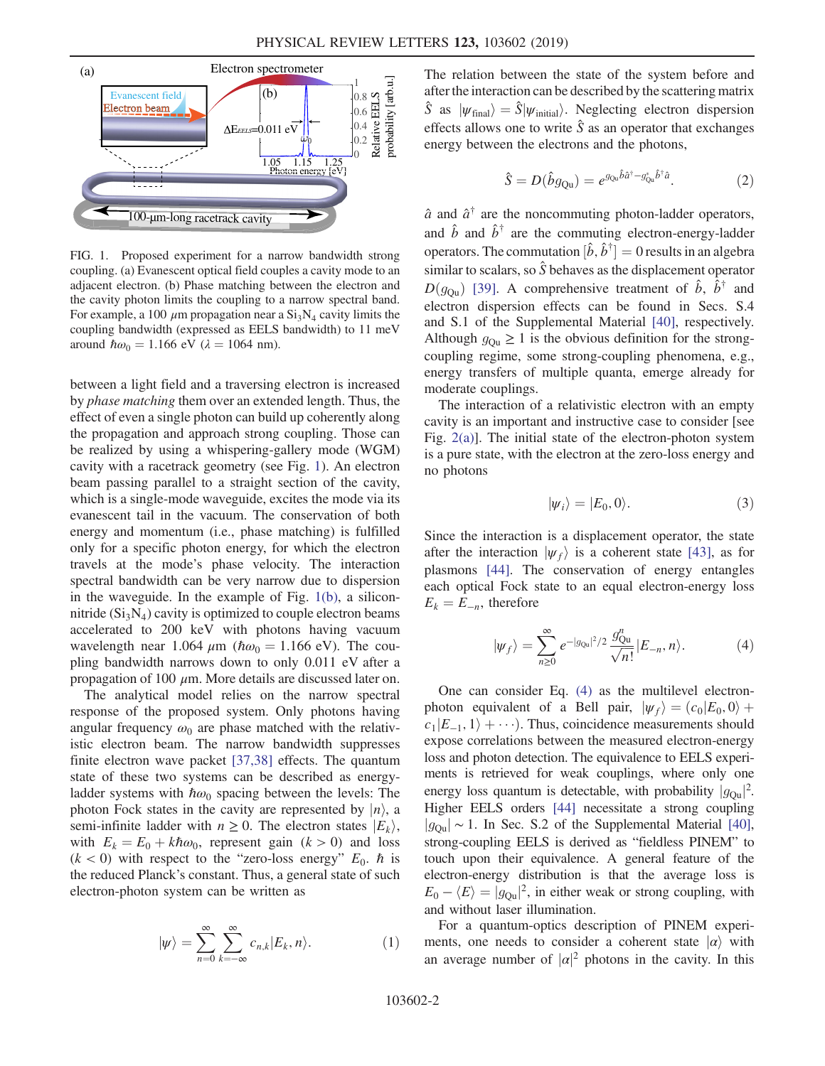<span id="page-1-0"></span>

FIG. 1. Proposed experiment for a narrow bandwidth strong coupling. (a) Evanescent optical field couples a cavity mode to an adjacent electron. (b) Phase matching between the electron and the cavity photon limits the coupling to a narrow spectral band. For example, a 100  $\mu$ m propagation near a  $Si<sub>3</sub>N<sub>4</sub>$  cavity limits the coupling bandwidth (expressed as EELS bandwidth) to 11 meV around  $\hbar \omega_0 = 1.166$  eV ( $\lambda = 1064$  nm).

between a light field and a traversing electron is increased by *phase matching* them over an extended length. Thus, the effect of even a single photon can build up coherently along the propagation and approach strong coupling. Those can be realized by using a whispering-gallery mode (WGM) cavity with a racetrack geometry (see Fig. [1](#page-1-0)). An electron beam passing parallel to a straight section of the cavity, which is a single-mode waveguide, excites the mode via its evanescent tail in the vacuum. The conservation of both energy and momentum (i.e., phase matching) is fulfilled only for a specific photon energy, for which the electron travels at the mode's phase velocity. The interaction spectral bandwidth can be very narrow due to dispersion in the waveguide. In the example of Fig. [1\(b\),](#page-1-0) a siliconnitride  $(Si<sub>3</sub>N<sub>4</sub>)$  cavity is optimized to couple electron beams accelerated to 200 keV with photons having vacuum wavelength near 1.064  $\mu$ m ( $\hbar \omega_0 = 1.166$  eV). The coupling bandwidth narrows down to only 0.011 eV after a propagation of 100  $\mu$ m. More details are discussed later on.

The analytical model relies on the narrow spectral response of the proposed system. Only photons having angular frequency  $\omega_0$  are phase matched with the relativistic electron beam. The narrow bandwidth suppresses finite electron wave packet [\[37,38\]](#page-5-15) effects. The quantum state of these two systems can be described as energyladder systems with  $\hbar \omega_0$  spacing between the levels: The photon Fock states in the cavity are represented by  $|n\rangle$ , a semi-infinite ladder with  $n \geq 0$ . The electron states  $|E_k\rangle$ , with  $E_k = E_0 + k\hbar\omega_0$ , represent gain  $(k > 0)$  and loss  $(k < 0)$  with respect to the "zero-loss energy"  $E_0$ .  $\hbar$  is the reduced Planck's constant. Thus, a general state of such electron-photon system can be written as

<span id="page-1-2"></span>
$$
|\psi\rangle = \sum_{n=0}^{\infty} \sum_{k=-\infty}^{\infty} c_{n,k} |E_k, n\rangle.
$$
 (1)

The relation between the state of the system before and after the interaction can be described by the scattering matrix  $\hat{S}$  as  $|\psi_{\text{final}}\rangle = \hat{S}|\psi_{\text{initial}}\rangle$ . Neglecting electron dispersion effects allows one to write  $\hat{S}$  as an operator that exchanges energy between the electrons and the photons,

$$
\hat{S} = D(\hat{b}g_{\text{Qu}}) = e^{g_{\text{Qu}}\hat{b}\hat{a}^{\dagger} - g_{\text{Qu}}^*\hat{b}^{\dagger}\hat{a}}.
$$
\n(2)

 $\hat{a}$  and  $\hat{a}^{\dagger}$  are the noncommuting photon-ladder operators, and  $\hat{b}$  and  $\hat{b}^{\dagger}$  are the commuting electron-energy-ladder operators. The commutation  $[\hat{b}, \hat{b}^{\dagger}] = 0$  results in an algebra similar to scalars, so  $\hat{S}$  behaves as the displacement operator  $D(g_{\text{Ou}})$  [\[39\]](#page-5-16). A comprehensive treatment of  $\hat{b}$ ,  $\hat{b}^{\dagger}$  and electron dispersion effects can be found in Secs. S.4 and S.1 of the Supplemental Material [\[40\]](#page-5-17), respectively. Although  $g_{\text{Ou}} \geq 1$  is the obvious definition for the strongcoupling regime, some strong-coupling phenomena, e.g., energy transfers of multiple quanta, emerge already for moderate couplings.

<span id="page-1-3"></span>The interaction of a relativistic electron with an empty cavity is an important and instructive case to consider [see Fig. [2\(a\)](#page-2-0)]. The initial state of the electron-photon system is a pure state, with the electron at the zero-loss energy and no photons

$$
|\psi_i\rangle = |E_0, 0\rangle. \tag{3}
$$

<span id="page-1-1"></span>Since the interaction is a displacement operator, the state after the interaction  $|\psi_f\rangle$  is a coherent state [\[43\],](#page-5-18) as for plasmons [\[44\]](#page-5-19). The conservation of energy entangles each optical Fock state to an equal electron-energy loss  $E_k = E_{-n}$ , therefore

$$
|\psi_f\rangle = \sum_{n\geq 0}^{\infty} e^{-|g_{\mathbb{Q}u}|^2/2} \frac{g_{\mathbb{Q}u}^n}{\sqrt{n!}} |E_{-n}, n\rangle.
$$
 (4)

One can consider Eq. [\(4\)](#page-1-1) as the multilevel electronphoton equivalent of a Bell pair,  $|\psi_f\rangle = (c_0|E_0, 0\rangle +$  $c_1|E_{-1}, 1\rangle + \cdots$ ). Thus, coincidence measurements should expose correlations between the measured electron-energy loss and photon detection. The equivalence to EELS experiments is retrieved for weak couplings, where only one energy loss quantum is detectable, with probability  $|g_{\text{Qu}}|^2$ . Higher EELS orders [\[44\]](#page-5-19) necessitate a strong coupling  $|g_{\text{Oul}}|$  ~ 1. In Sec. S.2 of the Supplemental Material [\[40\]](#page-5-17), strong-coupling EELS is derived as "fieldless PINEM" to touch upon their equivalence. A general feature of the electron-energy distribution is that the average loss is  $E_0 - \langle E \rangle = |g_{\text{Qu}}|^2$ , in either weak or strong coupling, with and without laser illumination.

For a quantum-optics description of PINEM experiments, one needs to consider a coherent state  $|\alpha\rangle$  with an average number of  $|\alpha|^2$  photons in the cavity. In this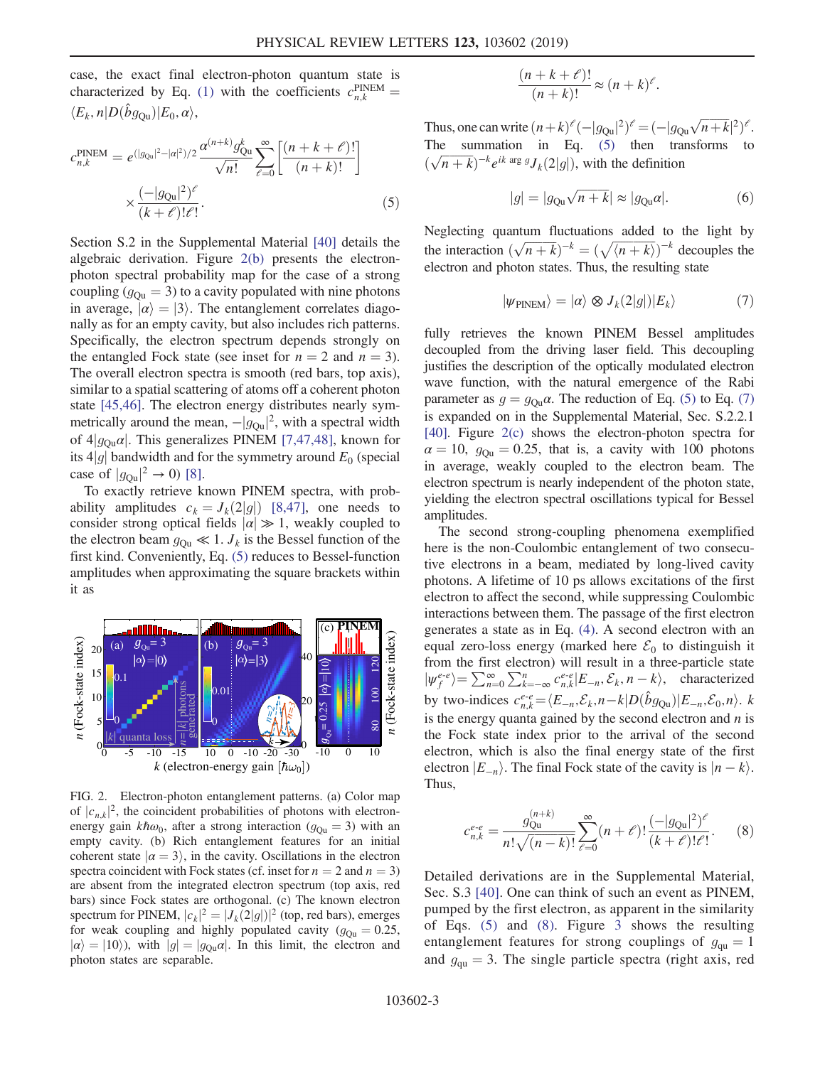<span id="page-2-1"></span>case, the exact final electron-photon quantum state is characterized by Eq. [\(1\)](#page-1-2) with the coefficients  $c_{n,k}^{\text{PINEM}} =$  $\langle E_k, n | D(\hat{b}g_{\text{Ou}}) | E_0, \alpha \rangle,$ 

$$
c_{n,k}^{\text{PINEM}} = e^{(|g_{\text{Qu}}|^2 - |\alpha|^2)/2} \frac{\alpha^{(n+k)} g_{\text{Qu}}^k}{\sqrt{n!}} \sum_{\ell=0}^{\infty} \left[ \frac{(n+k+\ell)!}{(n+k)!} \right] \times \frac{(-|g_{\text{Qu}}|^2)^{\ell}}{(k+\ell)! \ell!}.
$$
 (5)

Section S.2 in the Supplemental Material [\[40\]](#page-5-17) details the algebraic derivation. Figure [2\(b\)](#page-2-0) presents the electronphoton spectral probability map for the case of a strong coupling ( $g_{\text{Qu}} = 3$ ) to a cavity populated with nine photons in average,  $|\alpha\rangle = |3\rangle$ . The entanglement correlates diagonally as for an empty cavity, but also includes rich patterns. Specifically, the electron spectrum depends strongly on the entangled Fock state (see inset for  $n = 2$  and  $n = 3$ ). The overall electron spectra is smooth (red bars, top axis), similar to a spatial scattering of atoms off a coherent photon state [\[45,46\].](#page-5-20) The electron energy distributes nearly symmetrically around the mean,  $-|g_{\text{Qu}}|^2$ , with a spectral width of  $4|g_{\text{Ou}}\alpha|$ . This generalizes PINEM [\[7,47,48\]](#page-4-5), known for its  $4|g|$  bandwidth and for the symmetry around  $E_0$  (special case of  $|g_{\text{Qu}}|^2 \to 0$ ) [\[8\].](#page-4-6)

To exactly retrieve known PINEM spectra, with probability amplitudes  $c_k = J_k(2|g|)$  [\[8,47\],](#page-4-6) one needs to consider strong optical fields  $|\alpha| \gg 1$ , weakly coupled to the electron beam  $g_{\text{Qu}} \ll 1$ .  $J_k$  is the Bessel function of the first kind. Conveniently, Eq. [\(5\)](#page-2-1) reduces to Bessel-function amplitudes when approximating the square brackets within it as

<span id="page-2-0"></span>

FIG. 2. Electron-photon entanglement patterns. (a) Color map of  $|c_{n,k}|^2$ , the coincident probabilities of photons with electronenergy gain  $k\hbar\omega_0$ , after a strong interaction ( $g_{\text{Ou}} = 3$ ) with an empty cavity. (b) Rich entanglement features for an initial coherent state  $|\alpha = 3\rangle$ , in the cavity. Oscillations in the electron spectra coincident with Fock states (cf. inset for  $n = 2$  and  $n = 3$ ) are absent from the integrated electron spectrum (top axis, red bars) since Fock states are orthogonal. (c) The known electron spectrum for PINEM,  $|c_k|^2 = |J_k(2|g|)|^2$  (top, red bars), emerges for weak coupling and highly populated cavity ( $g_{\text{Qu}} = 0.25$ ,  $|\alpha\rangle = |10\rangle$ , with  $|g| = |g_{\text{Qu}}\alpha|$ . In this limit, the electron and photon states are separable.

<span id="page-2-4"></span>Thus, one can write  $(n+k)^{\ell}(-|g_{\text{Qu}}|^2)^{\ell} = (-|g_{\text{Qu}}\sqrt{n+k}|^2)^{\ell}$ . The summation in Eq. [\(5\)](#page-2-1) then transforms to  $(\sqrt{n+k})^{-k} e^{ik \arg g} J_k(2|g|)$ , with the definition

$$
|g| = |g_{\text{Qu}}\sqrt{n+k}| \approx |g_{\text{Qu}}\alpha|.
$$
 (6)

<span id="page-2-2"></span>Neglecting quantum fluctuations added to the light by the interaction  $(\sqrt{n+k})^{-k} = (\sqrt{\langle n+k \rangle})^{-k}$  decouples the electron and photon states. Thus, the resulting state

$$
|\psi_{\text{PINEM}}\rangle = |\alpha\rangle \otimes J_k(2|g|)|E_k\rangle \tag{7}
$$

fully retrieves the known PINEM Bessel amplitudes decoupled from the driving laser field. This decoupling justifies the description of the optically modulated electron wave function, with the natural emergence of the Rabi parameter as  $g = g_{\text{Qu}}\alpha$ . The reduction of Eq. [\(5\)](#page-2-1) to Eq. [\(7\)](#page-2-2) is expanded on in the Supplemental Material, Sec. S.2.2.1 [\[40\].](#page-5-17) Figure [2\(c\)](#page-2-0) shows the electron-photon spectra for  $\alpha = 10$ ,  $g_{\text{Ou}} = 0.25$ , that is, a cavity with 100 photons in average, weakly coupled to the electron beam. The electron spectrum is nearly independent of the photon state, yielding the electron spectral oscillations typical for Bessel amplitudes.

The second strong-coupling phenomena exemplified here is the non-Coulombic entanglement of two consecutive electrons in a beam, mediated by long-lived cavity photons. A lifetime of 10 ps allows excitations of the first electron to affect the second, while suppressing Coulombic interactions between them. The passage of the first electron generates a state as in Eq. [\(4\).](#page-1-1) A second electron with an equal zero-loss energy (marked here  $\mathcal{E}_0$  to distinguish it from the first electron) will result in a three-particle state  $|\psi_f^{e-e}\rangle = \sum_{n=0}^{\infty} \sum_{k=-\infty}^{n} c_{n,k}^{e-e} |E_{-n}, \mathcal{E}_k, n-k\rangle$ , characterized by two-indices  $c_{n,k}^{e-e} = \langle E_{-n}, \mathcal{E}_k, n-k|D(\hat{b}g_{\text{Qu}})|E_{-n}, \mathcal{E}_0, n \rangle$ . k is the energy quanta gained by the second electron and  $n$  is the Fock state index prior to the arrival of the second electron, which is also the final energy state of the first electron  $|E_{-n}\rangle$ . The final Fock state of the cavity is  $|n - k\rangle$ . Thus,

<span id="page-2-3"></span>
$$
c_{n,k}^{e\text{-}e} = \frac{g_{\text{Qu}}^{(n+k)}}{n!\sqrt{(n-k)!}} \sum_{\ell=0}^{\infty} (n+\ell)! \frac{(-|g_{\text{Qu}}|^2)^{\ell}}{(k+\ell)! \ell!}.
$$
 (8)

Detailed derivations are in the Supplemental Material, Sec. S.3 [\[40\].](#page-5-17) One can think of such an event as PINEM, pumped by the first electron, as apparent in the similarity of Eqs. [\(5\)](#page-2-1) and [\(8\)](#page-2-3). Figure [3](#page-3-0) shows the resulting entanglement features for strong couplings of  $g_{qu} = 1$ and  $g_{\text{qu}} = 3$ . The single particle spectra (right axis, red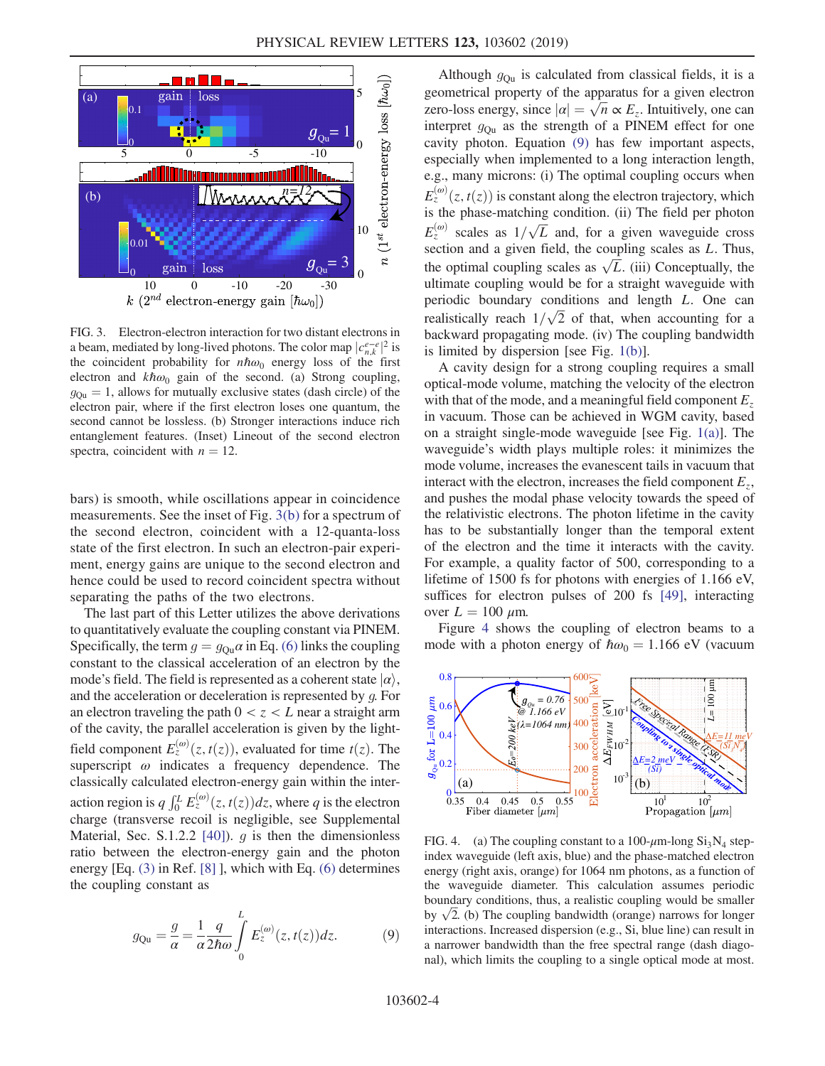<span id="page-3-0"></span>

FIG. 3. Electron-electron interaction for two distant electrons in a beam, mediated by long-lived photons. The color map  $|c_{n,k}^{e-e}|^2$  is the coincident probability for  $n\hbar\omega_0$  energy loss of the first electron and  $k\hbar\omega_0$  gain of the second. (a) Strong coupling,  $g_{\text{Qu}} = 1$ , allows for mutually exclusive states (dash circle) of the electron pair, where if the first electron loses one quantum, the second cannot be lossless. (b) Stronger interactions induce rich entanglement features. (Inset) Lineout of the second electron spectra, coincident with  $n = 12$ .

bars) is smooth, while oscillations appear in coincidence measurements. See the inset of Fig. [3\(b\)](#page-3-0) for a spectrum of the second electron, coincident with a 12-quanta-loss state of the first electron. In such an electron-pair experiment, energy gains are unique to the second electron and hence could be used to record coincident spectra without separating the paths of the two electrons.

The last part of this Letter utilizes the above derivations to quantitatively evaluate the coupling constant via PINEM. Specifically, the term  $g = g_{\text{Qu}}\alpha$  in Eq. [\(6\)](#page-2-4) links the coupling constant to the classical acceleration of an electron by the mode's field. The field is represented as a coherent state  $|\alpha\rangle$ , and the acceleration or deceleration is represented by g. For an electron traveling the path  $0 < z < L$  near a straight arm of the cavity, the parallel acceleration is given by the lightfield component  $E_z^{(\omega)}(z,t(z))$ , evaluated for time  $t(z)$ . The superscript  $\omega$  indicates a frequency dependence. The classically calculated electron-energy gain within the interaction region is  $q \int_0^L E_z^{(\omega)}(z, t(z)) dz$ , where q is the electron charge (transverse recoil is negligible, see Supplemental Material, Sec. S.1.2.2 [\[40\]](#page-5-17)).  $g$  is then the dimensionless ratio between the electron-energy gain and the photon energy [Eq. [\(3\)](#page-1-3) in Ref. [\[8\]](#page-4-6) ], which with Eq. [\(6\)](#page-2-4) determines the coupling constant as

<span id="page-3-1"></span>
$$
g_{\mathbf{Qu}} = \frac{g}{\alpha} = \frac{1}{\alpha} \frac{q}{2\hbar\omega} \int_{0}^{L} E_z^{(\omega)}(z, t(z)) dz.
$$
 (9)

Although  $g_{\text{Ou}}$  is calculated from classical fields, it is a geometrical property of the apparatus for a given electron zero-loss energy, since  $|\alpha| = \sqrt{n} \propto E_z$ . Intuitively, one can interpret  $g_{\text{Ou}}$  as the strength of a PINEM effect for one cavity photon. Equation [\(9\)](#page-3-1) has few important aspects, especially when implemented to a long interaction length, e.g., many microns: (i) The optimal coupling occurs when  $E_z^{(\omega)}(z,t(z))$  is constant along the electron trajectory, which is the phase-matching condition. (ii) The field per photon  $E_z^{(\omega)}$  scales as  $1/\sqrt{L}$  and, for a given waveguide cross section and a given field, the coupling scales as L. Thus, the optimal coupling scales as  $\sqrt{L}$ . (iii) Conceptually, the ultimate coupling would be for a straight waveguide with periodic boundary conditions and length L. One can realistically reach  $1/\sqrt{2}$  of that, when accounting for a backward propagating mode. (iv) The coupling bandwidth is limited by dispersion [see Fig. [1\(b\)\]](#page-1-0).

A cavity design for a strong coupling requires a small optical-mode volume, matching the velocity of the electron with that of the mode, and a meaningful field component  $E_z$ in vacuum. Those can be achieved in WGM cavity, based on a straight single-mode waveguide [see Fig. [1\(a\)\]](#page-1-0). The waveguide's width plays multiple roles: it minimizes the mode volume, increases the evanescent tails in vacuum that interact with the electron, increases the field component  $E_z$ , and pushes the modal phase velocity towards the speed of the relativistic electrons. The photon lifetime in the cavity has to be substantially longer than the temporal extent of the electron and the time it interacts with the cavity. For example, a quality factor of 500, corresponding to a lifetime of 1500 fs for photons with energies of 1.166 eV, suffices for electron pulses of 200 fs [\[49\]](#page-5-21), interacting over  $L = 100 \mu$ m.

Figure [4](#page-3-2) shows the coupling of electron beams to a mode with a photon energy of  $\hbar \omega_0 = 1.166 \text{ eV}$  (vacuum

<span id="page-3-2"></span>

FIG. 4. (a) The coupling constant to a 100- $\mu$ m-long Si<sub>3</sub>N<sub>4</sub> stepindex waveguide (left axis, blue) and the phase-matched electron energy (right axis, orange) for 1064 nm photons, as a function of the waveguide diameter. This calculation assumes periodic boundary conditions, thus, a realistic coupling would be smaller by  $\sqrt{2}$ . (b) The coupling bandwidth (orange) narrows for longer interactions. Increased dispersion (e.g., Si, blue line) can result in a narrower bandwidth than the free spectral range (dash diagonal), which limits the coupling to a single optical mode at most.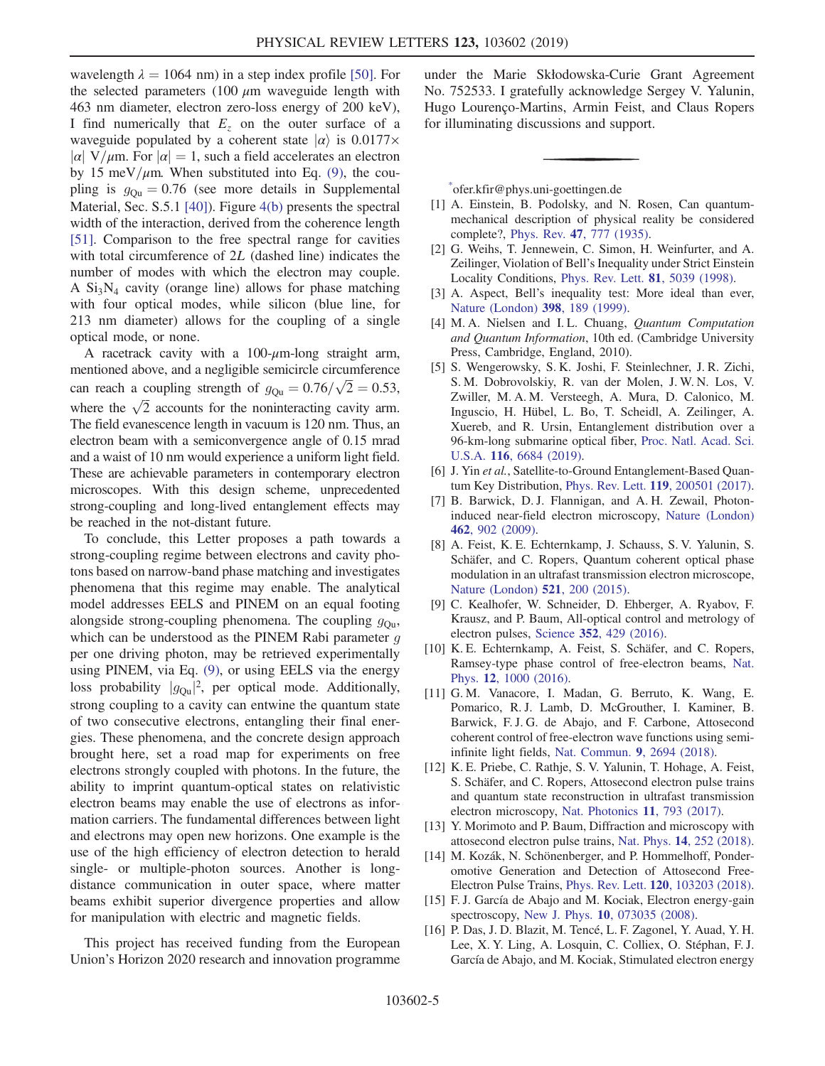wavelength  $\lambda = 1064$  nm) in a step index profile [\[50\]](#page-5-22). For the selected parameters (100  $\mu$ m waveguide length with 463 nm diameter, electron zero-loss energy of 200 keV), I find numerically that  $E<sub>z</sub>$  on the outer surface of a waveguide populated by a coherent state  $|\alpha\rangle$  is 0.0177×  $|\alpha|$  V/ $\mu$ m. For  $|\alpha| = 1$ , such a field accelerates an electron by 15 meV/ $\mu$ m. When substituted into Eq. [\(9\),](#page-3-1) the coupling is  $g_{\text{Ou}} = 0.76$  (see more details in Supplemental Material, Sec. S.5.1 [\[40\]](#page-5-17)). Figure [4\(b\)](#page-3-2) presents the spectral width of the interaction, derived from the coherence length [\[51\]](#page-5-23). Comparison to the free spectral range for cavities with total circumference of 2L (dashed line) indicates the number of modes with which the electron may couple. A  $Si<sub>3</sub>N<sub>4</sub>$  cavity (orange line) allows for phase matching with four optical modes, while silicon (blue line, for 213 nm diameter) allows for the coupling of a single optical mode, or none.

A racetrack cavity with a  $100-\mu$ m-long straight arm, mentioned above, and a negligible semicircle circumference can reach a coupling strength of  $g_{\text{Qu}} = 0.76/\sqrt{2} = 0.53$ , where the  $\sqrt{2}$  accounts for the noninteracting cavity arm. The field evanescence length in vacuum is 120 nm. Thus, an electron beam with a semiconvergence angle of 0.15 mrad and a waist of 10 nm would experience a uniform light field. These are achievable parameters in contemporary electron microscopes. With this design scheme, unprecedented strong-coupling and long-lived entanglement effects may be reached in the not-distant future.

To conclude, this Letter proposes a path towards a strong-coupling regime between electrons and cavity photons based on narrow-band phase matching and investigates phenomena that this regime may enable. The analytical model addresses EELS and PINEM on an equal footing alongside strong-coupling phenomena. The coupling  $g_{\text{Qu}}$ , which can be understood as the PINEM Rabi parameter  $g$ per one driving photon, may be retrieved experimentally using PINEM, via Eq. [\(9\),](#page-3-1) or using EELS via the energy loss probability  $|g_{\text{Qu}}|^2$ , per optical mode. Additionally, strong coupling to a cavity can entwine the quantum state of two consecutive electrons, entangling their final energies. These phenomena, and the concrete design approach brought here, set a road map for experiments on free electrons strongly coupled with photons. In the future, the ability to imprint quantum-optical states on relativistic electron beams may enable the use of electrons as information carriers. The fundamental differences between light and electrons may open new horizons. One example is the use of the high efficiency of electron detection to herald single- or multiple-photon sources. Another is longdistance communication in outer space, where matter beams exhibit superior divergence properties and allow for manipulation with electric and magnetic fields.

This project has received funding from the European Union's Horizon 2020 research and innovation programme under the Marie Skłodowska-Curie Grant Agreement No. 752533. I gratefully acknowledge Sergey V. Yalunin, Hugo Lourenço-Martins, Armin Feist, and Claus Ropers for illuminating discussions and support.

<span id="page-4-0"></span>[\\*](#page-0-0) ofer.kfir@phys.uni-goettingen.de

- <span id="page-4-1"></span>[1] A. Einstein, B. Podolsky, and N. Rosen, Can quantummechanical description of physical reality be considered complete?, Phys. Rev. 47[, 777 \(1935\)](https://doi.org/10.1103/PhysRev.47.777).
- [2] G. Weihs, T. Jennewein, C. Simon, H. Weinfurter, and A. Zeilinger, Violation of Bell's Inequality under Strict Einstein Locality Conditions, [Phys. Rev. Lett.](https://doi.org/10.1103/PhysRevLett.81.5039) 81, 5039 (1998).
- <span id="page-4-2"></span>[3] A. Aspect, Bell's inequality test: More ideal than ever, [Nature \(London\)](https://doi.org/10.1038/18296) 398, 189 (1999).
- [4] M. A. Nielsen and I. L. Chuang, Quantum Computation and Quantum Information, 10th ed. (Cambridge University Press, Cambridge, England, 2010).
- <span id="page-4-3"></span>[5] S. Wengerowsky, S. K. Joshi, F. Steinlechner, J. R. Zichi, S. M. Dobrovolskiy, R. van der Molen, J. W. N. Los, V. Zwiller, M. A. M. Versteegh, A. Mura, D. Calonico, M. Inguscio, H. Hübel, L. Bo, T. Scheidl, A. Zeilinger, A. Xuereb, and R. Ursin, Entanglement distribution over a 96-km-long submarine optical fiber, [Proc. Natl. Acad. Sci.](https://doi.org/10.1073/pnas.1818752116) U.S.A. 116[, 6684 \(2019\).](https://doi.org/10.1073/pnas.1818752116)
- <span id="page-4-5"></span><span id="page-4-4"></span>[6] J. Yin et al., Satellite-to-Ground Entanglement-Based Quantum Key Distribution, Phys. Rev. Lett. 119[, 200501 \(2017\).](https://doi.org/10.1103/PhysRevLett.119.200501)
- [7] B. Barwick, D. J. Flannigan, and A. H. Zewail, Photoninduced near-field electron microscopy, [Nature \(London\)](https://doi.org/10.1038/nature08662) 462[, 902 \(2009\)](https://doi.org/10.1038/nature08662).
- <span id="page-4-6"></span>[8] A. Feist, K. E. Echternkamp, J. Schauss, S. V. Yalunin, S. Schäfer, and C. Ropers, Quantum coherent optical phase modulation in an ultrafast transmission electron microscope, [Nature \(London\)](https://doi.org/10.1038/nature14463) 521, 200 (2015).
- [9] C. Kealhofer, W. Schneider, D. Ehberger, A. Ryabov, F. Krausz, and P. Baum, All-optical control and metrology of electron pulses, Science 352[, 429 \(2016\).](https://doi.org/10.1126/science.aae0003)
- [10] K. E. Echternkamp, A. Feist, S. Schäfer, and C. Ropers, Ramsey-type phase control of free-electron beams, [Nat.](https://doi.org/10.1038/nphys3844) Phys. 12[, 1000 \(2016\).](https://doi.org/10.1038/nphys3844)
- [11] G. M. Vanacore, I. Madan, G. Berruto, K. Wang, E. Pomarico, R. J. Lamb, D. McGrouther, I. Kaminer, B. Barwick, F. J. G. de Abajo, and F. Carbone, Attosecond coherent control of free-electron wave functions using semiinfinite light fields, [Nat. Commun.](https://doi.org/10.1038/s41467-018-05021-x) 9, 2694 (2018).
- <span id="page-4-7"></span>[12] K. E. Priebe, C. Rathje, S. V. Yalunin, T. Hohage, A. Feist, S. Schäfer, and C. Ropers, Attosecond electron pulse trains and quantum state reconstruction in ultrafast transmission electron microscopy, [Nat. Photonics](https://doi.org/10.1038/s41566-017-0045-8) 11, 793 (2017).
- [13] Y. Morimoto and P. Baum, Diffraction and microscopy with attosecond electron pulse trains, Nat. Phys. 14[, 252 \(2018\).](https://doi.org/10.1038/s41567-017-0007-6)
- [14] M. Kozák, N. Schönenberger, and P. Hommelhoff, Ponderomotive Generation and Detection of Attosecond Free-Electron Pulse Trains, Phys. Rev. Lett. 120[, 103203 \(2018\).](https://doi.org/10.1103/PhysRevLett.120.103203)
- <span id="page-4-8"></span>[15] F. J. García de Abajo and M. Kociak, Electron energy-gain spectroscopy, New J. Phys. 10[, 073035 \(2008\).](https://doi.org/10.1088/1367-2630/10/7/073035)
- [16] P. Das, J. D. Blazit, M. Tencé, L. F. Zagonel, Y. Auad, Y. H. Lee, X. Y. Ling, A. Losquin, C. Colliex, O. Stéphan, F. J. García de Abajo, and M. Kociak, Stimulated electron energy